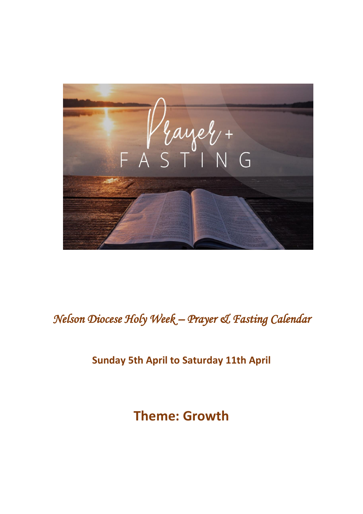

# *Nelson Diocese Holy Week – Prayer & Fasting Calendar*

#### **Sunday 5th April to Saturday 11th April**

# **Theme: Growth**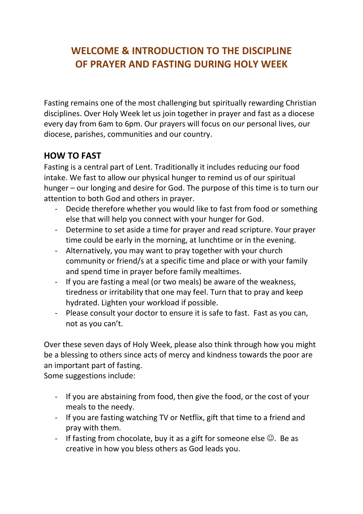### **WELCOME & INTRODUCTION TO THE DISCIPLINE OF PRAYER AND FASTING DURING HOLY WEEK**

Fasting remains one of the most challenging but spiritually rewarding Christian disciplines. Over Holy Week let us join together in prayer and fast as a diocese every day from 6am to 6pm. Our prayers will focus on our personal lives, our diocese, parishes, communities and our country.

#### **HOW TO FAST**

Fasting is a central part of Lent. Traditionally it includes reducing our food intake. We fast to allow our physical hunger to remind us of our spiritual hunger – our longing and desire for God. The purpose of this time is to turn our attention to both God and others in prayer.

- Decide therefore whether you would like to fast from food or something else that will help you connect with your hunger for God.
- Determine to set aside a time for prayer and read scripture. Your prayer time could be early in the morning, at lunchtime or in the evening.
- Alternatively, you may want to pray together with your church community or friend/s at a specific time and place or with your family and spend time in prayer before family mealtimes.
- If you are fasting a meal (or two meals) be aware of the weakness, tiredness or irritability that one may feel. Turn that to pray and keep hydrated. Lighten your workload if possible.
- Please consult your doctor to ensure it is safe to fast. Fast as you can, not as you can't.

Over these seven days of Holy Week, please also think through how you might be a blessing to others since acts of mercy and kindness towards the poor are an important part of fasting.

Some suggestions include:

- If you are abstaining from food, then give the food, or the cost of your meals to the needy.
- If you are fasting watching TV or Netflix, gift that time to a friend and pray with them.
- If fasting from chocolate, buy it as a gift for someone else  $\odot$ . Be as creative in how you bless others as God leads you.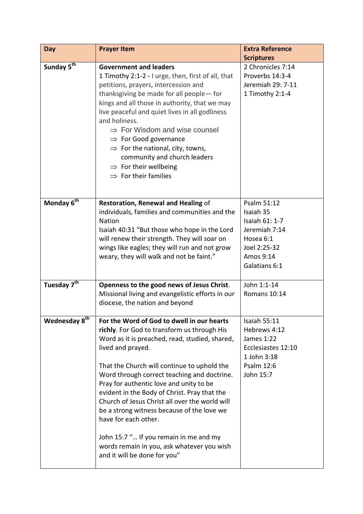| Day                       | <b>Prayer Item</b>                                                                                                                                                                                                                                                                                                                                                                                                                                                                                                                                                                                        | <b>Extra Reference</b>                                                                                                 |
|---------------------------|-----------------------------------------------------------------------------------------------------------------------------------------------------------------------------------------------------------------------------------------------------------------------------------------------------------------------------------------------------------------------------------------------------------------------------------------------------------------------------------------------------------------------------------------------------------------------------------------------------------|------------------------------------------------------------------------------------------------------------------------|
| Sunday 5th                | <b>Government and leaders</b>                                                                                                                                                                                                                                                                                                                                                                                                                                                                                                                                                                             | <b>Scriptures</b><br>2 Chronicles 7:14                                                                                 |
|                           | 1 Timothy 2:1-2 - I urge, then, first of all, that<br>petitions, prayers, intercession and<br>thanksgiving be made for all people-for<br>kings and all those in authority, that we may<br>live peaceful and quiet lives in all godliness<br>and holiness.<br>$\Rightarrow$ For Wisdom and wise counsel<br>$\Rightarrow$ For Good governance<br>$\Rightarrow$ For the national, city, towns,<br>community and church leaders<br>$\Rightarrow$ For their wellbeing<br>$\Rightarrow$ For their families                                                                                                      | Proverbs 14:3-4<br>Jeremiah 29: 7-11<br>1 Timothy 2:1-4                                                                |
| Monday 6 <sup>th</sup>    | Restoration, Renewal and Healing of<br>individuals, families and communities and the<br><b>Nation</b><br>Isaiah 40:31 "But those who hope in the Lord<br>will renew their strength. They will soar on<br>wings like eagles; they will run and not grow<br>weary, they will walk and not be faint."                                                                                                                                                                                                                                                                                                        | Psalm 51:12<br>Isaiah 35<br>Isaiah 61: 1-7<br>Jeremiah 7:14<br>Hosea 6:1<br>Joel 2:25-32<br>Amos 9:14<br>Galatians 6:1 |
| Tuesday 7 <sup>th</sup>   | Openness to the good news of Jesus Christ.<br>Missional living and evangelistic efforts in our<br>diocese, the nation and beyond                                                                                                                                                                                                                                                                                                                                                                                                                                                                          | John 1:1-14<br>Romans 10:14                                                                                            |
| Wednesday 8 <sup>th</sup> | For the Word of God to dwell in our hearts<br>richly. For God to transform us through His<br>Word as it is preached, read, studied, shared,<br>lived and prayed.<br>That the Church will continue to uphold the<br>Word through correct teaching and doctrine.<br>Pray for authentic love and unity to be<br>evident in the Body of Christ. Pray that the<br>Church of Jesus Christ all over the world will<br>be a strong witness because of the love we<br>have for each other.<br>John 15:7 " If you remain in me and my<br>words remain in you, ask whatever you wish<br>and it will be done for you" | Isaiah 55:11<br>Hebrews 4:12<br>James 1:22<br>Ecclesiastes 12:10<br>1 John 3:18<br>Psalm 12:6<br>John 15:7             |